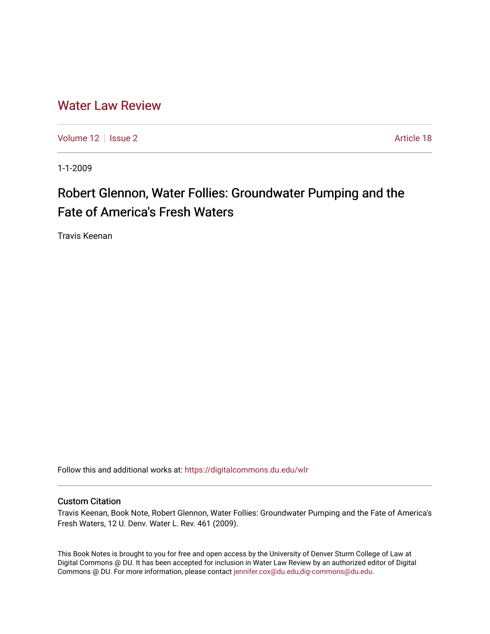## [Water Law Review](https://digitalcommons.du.edu/wlr)

[Volume 12](https://digitalcommons.du.edu/wlr/vol12) | [Issue 2](https://digitalcommons.du.edu/wlr/vol12/iss2) Article 18

1-1-2009

# Robert Glennon, Water Follies: Groundwater Pumping and the Fate of America's Fresh Waters

Travis Keenan

Follow this and additional works at: [https://digitalcommons.du.edu/wlr](https://digitalcommons.du.edu/wlr?utm_source=digitalcommons.du.edu%2Fwlr%2Fvol12%2Fiss2%2F18&utm_medium=PDF&utm_campaign=PDFCoverPages) 

#### Custom Citation

Travis Keenan, Book Note, Robert Glennon, Water Follies: Groundwater Pumping and the Fate of America's Fresh Waters, 12 U. Denv. Water L. Rev. 461 (2009).

This Book Notes is brought to you for free and open access by the University of Denver Sturm College of Law at Digital Commons @ DU. It has been accepted for inclusion in Water Law Review by an authorized editor of Digital Commons @ DU. For more information, please contact [jennifer.cox@du.edu,dig-commons@du.edu.](mailto:jennifer.cox@du.edu,dig-commons@du.edu)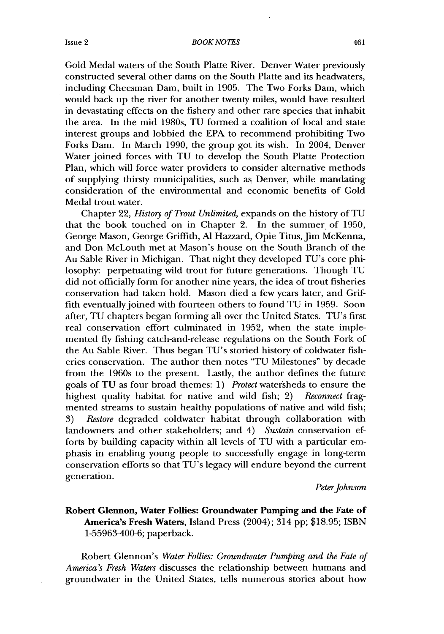Gold Medal waters of the South Platte River. Denver Water previously constructed several other dams on the South Platte and its headwaters, including Cheesman Dam, built in 1905. The Two Forks Dam, which would back up the river for another twenty miles, would have resulted in devastating effects on the fishery and other rare species that inhabit the area. In the mid 1980s, TU formed a coalition of local and state interest groups and lobbied the EPA to recommend prohibiting Two Forks Dam. In March 1990, the group got its wish. In 2004, Denver Water joined forces with TU to develop the South Platte Protection Plan, which will force water providers to consider alternative methods of supplying thirsty municipalities, such as Denver, while mandating consideration of the environmental and economic benefits of Gold Medal trout water.

Chapter 22, *History of Trout Unlimited,* expands on the history of TU that the book touched on in Chapter 2. In the summer of 1950, George Mason, George Griffith, **Al** Hazzard, Opie Titus, Jim McKenna, and Don McLouth met at Mason's house on the South Branch of the Au Sable River in Michigan. That night they developed TU's core philosophy: perpetuating wild trout for future generations. Though TU did not officially form for another nine years, the idea of trout fisheries conservation had taken hold. Mason died a few years later, and Griffith eventually joined with fourteen others to found TU in 1959. Soon after, TU chapters began forming all over the United States. TU's first real conservation effort culminated in 1952, when the state implemented fly fishing catch-and-release regulations on the South Fork of the Au Sable River. Thus began TU's storied history of coldwater fisheries conservation. The author then notes "TU Milestones" by decade from the 1960s to the present. Lastly, the author defines the future goals of TU as four broad themes: 1) *Protect* watersheds to ensure the highest quality habitat for native and wild fish; 2) *Reconnect* fragmented streams to sustain healthy populations of native and wild fish; 3) *Restore* degraded coldwater habitat through collaboration with landowners and other stakeholders; and 4) *Sustain* conservation efforts by building capacity within all levels of TU with a particular emphasis in enabling young people to successfully engage in long-term conservation efforts so that TU's legacy will endure beyond the current generation.

#### *Peter Johnson*

### **Robert Glennon, Water Follies: Groundwater Pumping and the Fate of America's Fresh Waters, Island** Press (2004); 314 **pp; \$18.95; ISBN 1-55963-400-6;** paperback.

Robert Glennon's *Water Follies: Groundwater Pumping and the Fate of America's Fresh Waters* discusses the relationship between humans and groundwater in the United States, tells numerous stories about how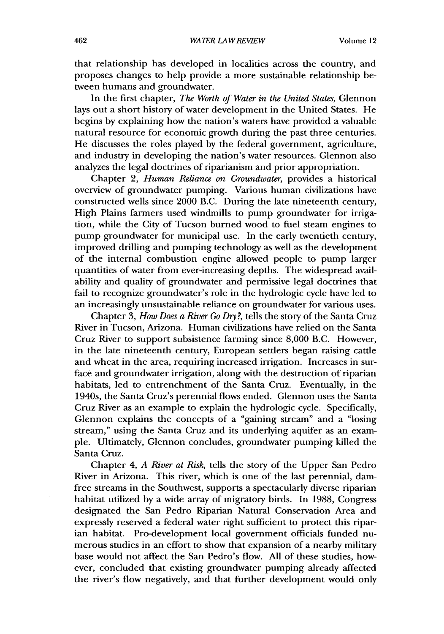that relationship has developed in localities across the country, and proposes changes to help provide a more sustainable relationship between humans and groundwater.

In the first chapter, *The Worth of Water in the United States,* Glennon lays out a short history of water development in the United States. He begins by explaining how the nation's waters have provided a valuable natural resource for economic growth during the past three centuries. He discusses the roles played by the federal government, agriculture, and industry in developing the nation's water resources. Glennon also analyzes the legal doctrines of riparianism and prior appropriation.

Chapter 2, *Human Reliance on Groundwater,* provides a historical overview of groundwater pumping. Various human civilizations have constructed wells since 2000 B.C. During the late nineteenth century, High Plains farmers used windmills to pump groundwater for irrigation, while the City of Tucson burned wood to fuel steam engines to pump groundwater for municipal use. In the early twentieth century, improved drilling and pumping technology as well as the development of the internal combustion engine allowed people to pump larger quantities of water from ever-increasing depths. The widespread availability and quality of groundwater and permissive legal doctrines that fail to recognize groundwater's role in the hydrologic cycle have led to an increasingly unsustainable reliance on groundwater for various uses.

Chapter 3, *How Does a River Go Dry?*, tells the story of the Santa Cruz River in Tucson, Arizona. Human civilizations have relied on the Santa Cruz River to support subsistence farming since 8,000 B.C. However, in the late nineteenth century, European settlers began raising cattle and wheat in the area, requiring increased irrigation. Increases in surface and groundwater irrigation, along with the destruction of riparian habitats, led to entrenchment of the Santa Cruz. Eventually, in the 1940s, the Santa Cruz's perennial flows ended. Glennon uses the Santa Cruz River as an example to explain the hydrologic cycle. Specifically, Glennon explains the concepts of a "gaining stream" and a "losing stream," using the Santa Cruz and its underlying aquifer as an example. Ultimately, Glennon concludes, groundwater pumping killed the Santa Cruz.

Chapter *4, A River at Risk,* tells the story of the Upper San Pedro River in Arizona. This river, which is one of the last perennial, damfree streams in the Southwest, supports a spectacularly diverse riparian habitat utilized by a wide array of migratory birds. In 1988, Congress designated the San Pedro Riparian Natural Conservation Area and expressly reserved a federal water right sufficient to protect this riparian habitat. Pro-development local government officials funded numerous studies in an effort to show that expansion of a nearby military base would not affect the San Pedro's flow. All of these studies, however, concluded that existing groundwater pumping already affected the river's flow negatively, and that further development would only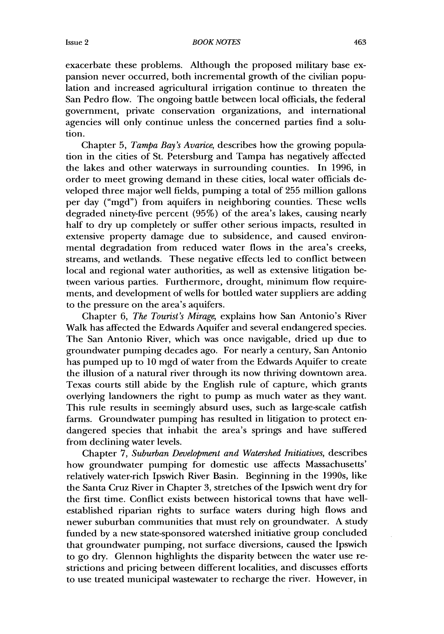*BOOK NOTES*

exacerbate these problems. Although the proposed military base expansion never occurred, both incremental growth of the civilian population and increased agricultural irrigation continue to threaten the San Pedro flow. The ongoing battle between local officials, the federal government, private conservation organizations, and international agencies will only continue unless the concerned parties find a solution.

Chapter 5, *Tampa Bay's Avarice,* describes how the growing population in the cities of St. Petersburg and Tampa has negatively affected the lakes and other waterways in surrounding counties. In 1996, in order to meet growing demand in these cities, local water officials developed three major well fields, pumping a total of 255 million gallons per day ("mgd") from aquifers in neighboring counties. These wells degraded ninety-five percent (95%) of the area's lakes, causing nearly half to dry up completely or suffer other serious impacts, resulted in extensive property damage due to subsidence, and caused environmental degradation from reduced water flows in the area's creeks, streams, and wetlands. These negative effects led to conflict between local and regional water authorities, as well as extensive litigation between various parties. Furthermore, drought, minimum flow requirements, and development of wells for bottled water suppliers are adding to the pressure on the area's aquifers.

Chapter 6, *The Tourist's Mirage,* explains how San Antonio's River Walk has affected the Edwards Aquifer and several endangered species. The San Antonio River, which was once navigable, dried up due to groundwater pumping decades ago. For nearly a century, San Antonio has pumped up to 10 mgd of water from the Edwards Aquifer to create the illusion of a natural river through its now thriving downtown area. Texas courts still abide by the English rule of capture, which grants overlying landowners the right to pump as much water as they want. This rule results in seemingly absurd uses, such as large-scale catfish farms. Groundwater pumping has resulted in litigation to protect endangered species that inhabit the area's springs and have suffered from declining water levels.

Chapter 7, *Suburban Development and Watershed Initiatives,* describes how groundwater pumping for domestic use affects Massachusetts' relatively water-rich Ipswich River Basin. Beginning in the 1990s, like the Santa Cruz River in Chapter 3, stretches of the Ipswich went dry for the first time. Conflict exists between historical towns that have wellestablished riparian rights to surface waters during high flows and newer suburban communities that must rely on groundwater. A study funded by a new state-sponsored watershed initiative group concluded that groundwater pumping, not surface diversions, caused the Ipswich to go dry. Glennon highlights the disparity between the water use restrictions and pricing between different localities, and discusses efforts to use treated municipal wastewater to recharge the river. However, in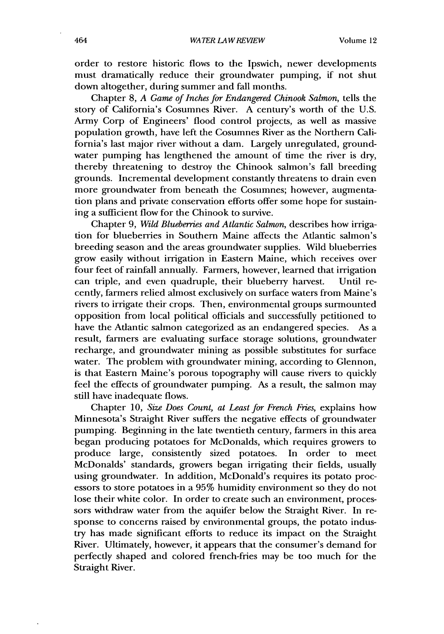order to restore historic flows to the Ipswich, newer developments must dramatically reduce their groundwater pumping, if not shut down altogether, during summer and fall months.

Chapter 8, *A Game of Inches for Endangered Chinook Salmon,* tells the story of California's Cosumnes River. A century's worth of the U.S. Army Corp of Engineers' flood control projects, as well as massive population growth, have left the Cosumnes River as the Northern California's last major river without a dam. Largely unregulated, groundwater pumping has lengthened the amount of time the river is dry, thereby threatening to destroy the Chinook salmon's fall breeding grounds. Incremental development constantly threatens to drain even more groundwater from beneath the Cosumnes; however, augmentation plans and private conservation efforts offer some hope for sustaining a sufficient flow for the Chinook to survive.

Chapter 9, *Wild Blueberries and Atlantic Salmon,* describes how irrigation for blueberries in Southern Maine affects the Atlantic salmon's breeding season and the areas groundwater supplies. Wild blueberries grow easily without irrigation in Eastern Maine, which receives over four feet of rainfall annually. Farmers, however, learned that irrigation can triple, and even quadruple, their blueberry harvest. Until recently, farmers relied almost exclusively on surface waters from Maine's rivers to irrigate their crops. Then, environmental groups surmounted opposition from local political officials and successfully petitioned to have the Atlantic salmon categorized as an endangered species. As a result, farmers are evaluating surface storage solutions, groundwater recharge, and groundwater mining as possible substitutes for surface water. The problem with groundwater mining, according to Glennon, is that Eastern Maine's porous topography will cause rivers to quickly feel the effects of groundwater pumping. As a result, the salmon may still have inadequate flows.

Chapter 10, *Size Does Count, at Least for French Fries,* explains how Minnesota's Straight River suffers the negative effects of groundwater pumping. Beginning in the late twentieth century, farmers in this area began producing potatoes for McDonalds, which requires growers to produce large, consistently sized potatoes. In order to meet McDonalds' standards, growers began irrigating their fields, usually using groundwater. In addition, McDonald's requires its potato processors to store potatoes in a 95% humidity environment so they do not lose their white color. In order to create such an environment, processors withdraw water from the aquifer below the Straight River. In response to concerns raised by environmental groups, the potato industry has made significant efforts to reduce its impact on the Straight River. Ultimately, however, it appears that the consumer's demand for perfectly shaped and colored french-fries may be too much for the Straight River.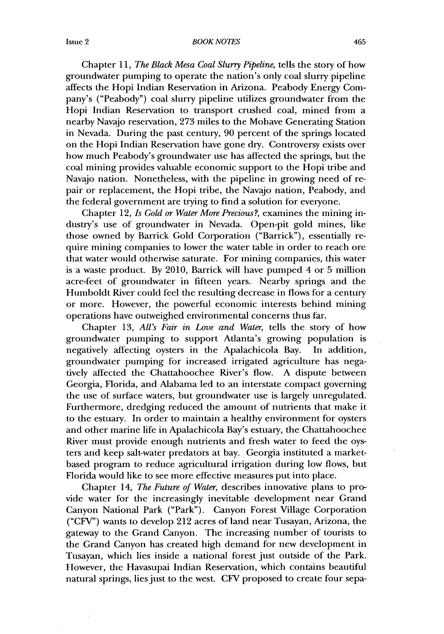#### BOOK NOTES

Chapter 11, *The Black Mesa Coal Slurry Pipeline,* tells the story of how groundwater pumping to operate the nation's only coal slurry pipeline affects the Hopi Indian Reservation in Arizona. Peabody Energy Company's ("Peabody") coal slurry pipeline utilizes groundwater from the Hopi Indian Reservation to transport crushed coal, mined from a nearby Navajo reservation, 273 miles to the Mohave Generating Station in Nevada. During the past century, 90 percent of the springs located on the Hopi Indian Reservation have gone dry. Controversy exists over how much Peabody's groundwater use has affected the springs, but the coal mining provides valuable economic support to the Hopi tribe and Navajo nation. Nonetheless, with the pipeline in growing need of repair or replacement, the Hopi tribe, the Navajo nation, Peabody, and the federal government are trying to find a solution for everyone.

Chapter 12, *Is Gold or Water More Precious?,* examines the mining industry's use of groundwater in Nevada. Open-pit gold mines, like those owned by Barrick Gold Corporation ("Barrick"), essentially require mining companies to lower the water table in order to reach ore that water would otherwise saturate. For mining companies, this water is a waste product. By 2010, Barrick will have pumped 4 or 5 million acre-feet of groundwater in fifteen years. Nearby springs and the Humboldt River could feel the resulting decrease in flows for a century or more. However, the powerful economic interests behind mining operations have outweighed environmental concerns thus far.

Chapter 13, *All's Fair in Love and Water,* tells the story of how groundwater pumping to support Atlanta's growing population is negatively affecting oysters in the Apalachicola Bay. In addition, groundwater pumping for increased irrigated agriculture has negatively affected the Chattahoochee River's flow. A dispute between Georgia, Florida, and-Alabama led to an interstate compact governing the use of surface waters, but groundwater use is largely unregulated. Furthermore, dredging reduced the amount of nutrients that make it to the estuary. In order to maintain a healthy environment for oysters and other marine life in Apalachicola Bay's estuary, the Chattahoochee River must provide enough nutrients and fresh water to feed the oysters and keep salt-water predators at bay. Georgia instituted a marketbased program to reduce agricultural irrigation during low flows, but Florida would like to see more effective measures put into place.

Chapter 14, *The Future of Water,* describes innovative plans to provide water for the increasingly inevitable development near Grand Canyon National Park ("Park"). Canyon Forest Village Corporation ("CFV") wants to develop 212 acres of land near Tusayan, Arizona, the gateway to the Grand Canyon. The increasing number of tourists to the Grand Canyon has created high demand for new development in Tusayan, which lies inside a national forest just outside of the Park. However, the Havasupai Indian Reservation, which contains beautiful natural springs, lies just to the west. CFV proposed to create four sepa